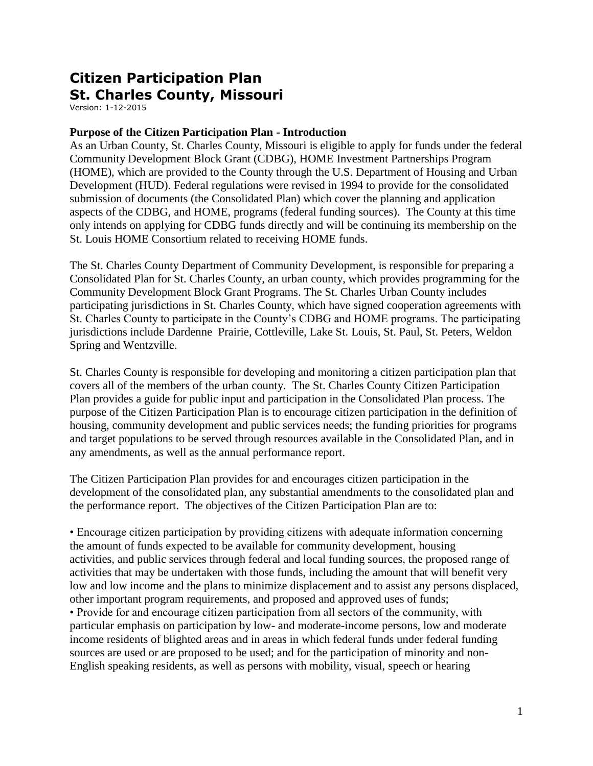# **Citizen Participation Plan St. Charles County, Missouri**

Version: 1-12-2015

### **Purpose of the Citizen Participation Plan - Introduction**

As an Urban County, St. Charles County, Missouri is eligible to apply for funds under the federal Community Development Block Grant (CDBG), HOME Investment Partnerships Program (HOME), which are provided to the County through the U.S. Department of Housing and Urban Development (HUD). Federal regulations were revised in 1994 to provide for the consolidated submission of documents (the Consolidated Plan) which cover the planning and application aspects of the CDBG, and HOME, programs (federal funding sources). The County at this time only intends on applying for CDBG funds directly and will be continuing its membership on the St. Louis HOME Consortium related to receiving HOME funds.

The St. Charles County Department of Community Development, is responsible for preparing a Consolidated Plan for St. Charles County, an urban county, which provides programming for the Community Development Block Grant Programs. The St. Charles Urban County includes participating jurisdictions in St. Charles County, which have signed cooperation agreements with St. Charles County to participate in the County's CDBG and HOME programs. The participating jurisdictions include Dardenne Prairie, Cottleville, Lake St. Louis, St. Paul, St. Peters, Weldon Spring and Wentzville.

St. Charles County is responsible for developing and monitoring a citizen participation plan that covers all of the members of the urban county. The St. Charles County Citizen Participation Plan provides a guide for public input and participation in the Consolidated Plan process. The purpose of the Citizen Participation Plan is to encourage citizen participation in the definition of housing, community development and public services needs; the funding priorities for programs and target populations to be served through resources available in the Consolidated Plan, and in any amendments, as well as the annual performance report.

The Citizen Participation Plan provides for and encourages citizen participation in the development of the consolidated plan, any substantial amendments to the consolidated plan and the performance report. The objectives of the Citizen Participation Plan are to:

• Encourage citizen participation by providing citizens with adequate information concerning the amount of funds expected to be available for community development, housing activities, and public services through federal and local funding sources, the proposed range of activities that may be undertaken with those funds, including the amount that will benefit very low and low income and the plans to minimize displacement and to assist any persons displaced, other important program requirements, and proposed and approved uses of funds; • Provide for and encourage citizen participation from all sectors of the community, with particular emphasis on participation by low- and moderate-income persons, low and moderate income residents of blighted areas and in areas in which federal funds under federal funding sources are used or are proposed to be used; and for the participation of minority and non-English speaking residents, as well as persons with mobility, visual, speech or hearing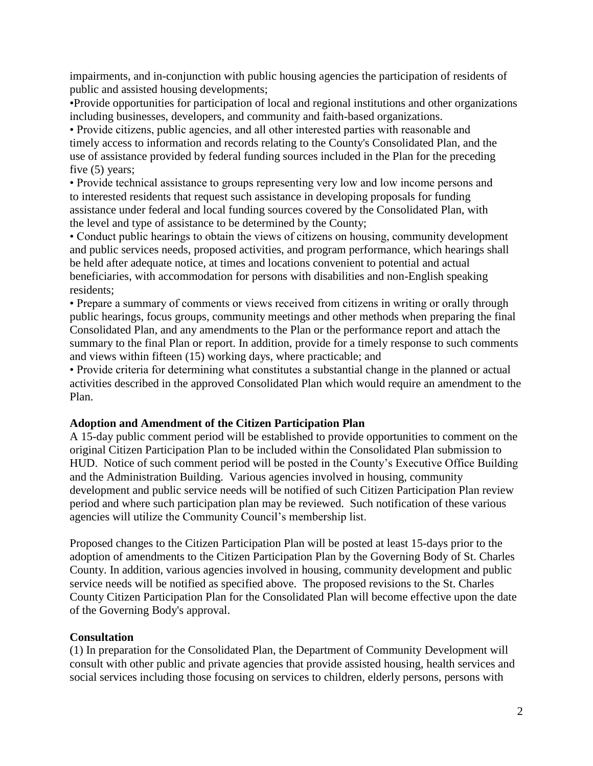impairments, and in-conjunction with public housing agencies the participation of residents of public and assisted housing developments;

•Provide opportunities for participation of local and regional institutions and other organizations including businesses, developers, and community and faith-based organizations.

• Provide citizens, public agencies, and all other interested parties with reasonable and timely access to information and records relating to the County's Consolidated Plan, and the use of assistance provided by federal funding sources included in the Plan for the preceding five (5) years;

• Provide technical assistance to groups representing very low and low income persons and to interested residents that request such assistance in developing proposals for funding assistance under federal and local funding sources covered by the Consolidated Plan, with the level and type of assistance to be determined by the County;

• Conduct public hearings to obtain the views of citizens on housing, community development and public services needs, proposed activities, and program performance, which hearings shall be held after adequate notice, at times and locations convenient to potential and actual beneficiaries, with accommodation for persons with disabilities and non-English speaking residents;

• Prepare a summary of comments or views received from citizens in writing or orally through public hearings, focus groups, community meetings and other methods when preparing the final Consolidated Plan, and any amendments to the Plan or the performance report and attach the summary to the final Plan or report. In addition, provide for a timely response to such comments and views within fifteen (15) working days, where practicable; and

• Provide criteria for determining what constitutes a substantial change in the planned or actual activities described in the approved Consolidated Plan which would require an amendment to the Plan.

#### **Adoption and Amendment of the Citizen Participation Plan**

A 15-day public comment period will be established to provide opportunities to comment on the original Citizen Participation Plan to be included within the Consolidated Plan submission to HUD. Notice of such comment period will be posted in the County's Executive Office Building and the Administration Building. Various agencies involved in housing, community development and public service needs will be notified of such Citizen Participation Plan review period and where such participation plan may be reviewed. Such notification of these various agencies will utilize the Community Council's membership list.

Proposed changes to the Citizen Participation Plan will be posted at least 15-days prior to the adoption of amendments to the Citizen Participation Plan by the Governing Body of St. Charles County. In addition, various agencies involved in housing, community development and public service needs will be notified as specified above. The proposed revisions to the St. Charles County Citizen Participation Plan for the Consolidated Plan will become effective upon the date of the Governing Body's approval.

## **Consultation**

(1) In preparation for the Consolidated Plan, the Department of Community Development will consult with other public and private agencies that provide assisted housing, health services and social services including those focusing on services to children, elderly persons, persons with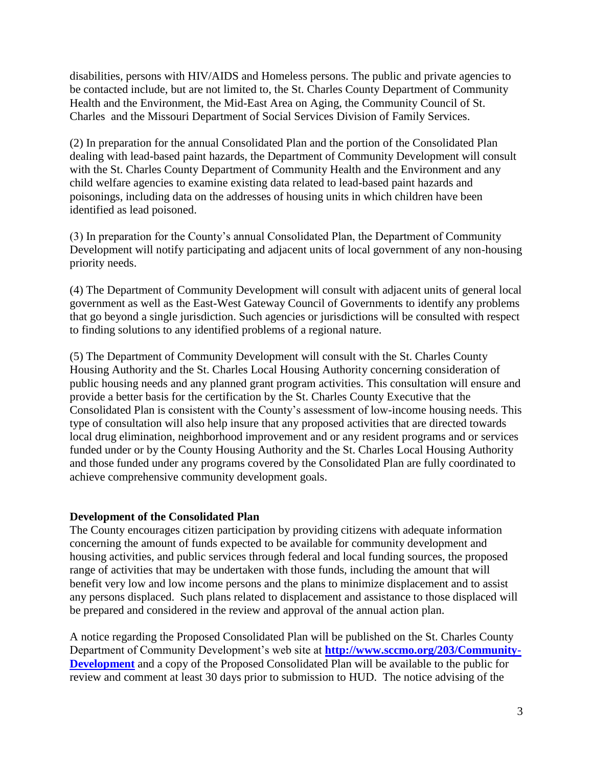disabilities, persons with HIV/AIDS and Homeless persons. The public and private agencies to be contacted include, but are not limited to, the St. Charles County Department of Community Health and the Environment, the Mid-East Area on Aging, the Community Council of St. Charles and the Missouri Department of Social Services Division of Family Services.

(2) In preparation for the annual Consolidated Plan and the portion of the Consolidated Plan dealing with lead-based paint hazards, the Department of Community Development will consult with the St. Charles County Department of Community Health and the Environment and any child welfare agencies to examine existing data related to lead-based paint hazards and poisonings, including data on the addresses of housing units in which children have been identified as lead poisoned.

(3) In preparation for the County's annual Consolidated Plan, the Department of Community Development will notify participating and adjacent units of local government of any non-housing priority needs.

(4) The Department of Community Development will consult with adjacent units of general local government as well as the East-West Gateway Council of Governments to identify any problems that go beyond a single jurisdiction. Such agencies or jurisdictions will be consulted with respect to finding solutions to any identified problems of a regional nature.

(5) The Department of Community Development will consult with the St. Charles County Housing Authority and the St. Charles Local Housing Authority concerning consideration of public housing needs and any planned grant program activities. This consultation will ensure and provide a better basis for the certification by the St. Charles County Executive that the Consolidated Plan is consistent with the County's assessment of low-income housing needs. This type of consultation will also help insure that any proposed activities that are directed towards local drug elimination, neighborhood improvement and or any resident programs and or services funded under or by the County Housing Authority and the St. Charles Local Housing Authority and those funded under any programs covered by the Consolidated Plan are fully coordinated to achieve comprehensive community development goals.

## **Development of the Consolidated Plan**

The County encourages citizen participation by providing citizens with adequate information concerning the amount of funds expected to be available for community development and housing activities, and public services through federal and local funding sources, the proposed range of activities that may be undertaken with those funds, including the amount that will benefit very low and low income persons and the plans to minimize displacement and to assist any persons displaced. Such plans related to displacement and assistance to those displaced will be prepared and considered in the review and approval of the annual action plan.

A notice regarding the Proposed Consolidated Plan will be published on the St. Charles County Department of Community Development's web site at **[http://www.sccmo.org/203/Community-](http://www.sccmo.org/203/Community-Development)[Development](http://www.sccmo.org/203/Community-Development)** and a copy of the Proposed Consolidated Plan will be available to the public for review and comment at least 30 days prior to submission to HUD. The notice advising of the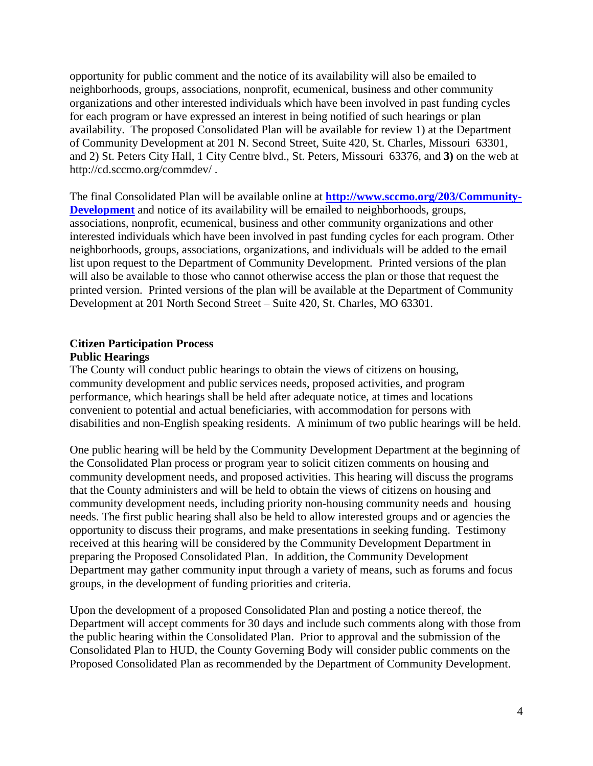opportunity for public comment and the notice of its availability will also be emailed to neighborhoods, groups, associations, nonprofit, ecumenical, business and other community organizations and other interested individuals which have been involved in past funding cycles for each program or have expressed an interest in being notified of such hearings or plan availability. The proposed Consolidated Plan will be available for review 1) at the Department of Community Development at 201 N. Second Street, Suite 420, St. Charles, Missouri 63301, and 2) St. Peters City Hall, 1 City Centre blvd., St. Peters, Missouri 63376, and **3)** on the web at http://cd.sccmo.org/commdev/ .

The final Consolidated Plan will be available online at **[http://www.sccmo.org/203/Community-](http://www.sccmo.org/203/Community-Development)[Development](http://www.sccmo.org/203/Community-Development)** and notice of its availability will be emailed to neighborhoods, groups, associations, nonprofit, ecumenical, business and other community organizations and other interested individuals which have been involved in past funding cycles for each program. Other neighborhoods, groups, associations, organizations, and individuals will be added to the email list upon request to the Department of Community Development. Printed versions of the plan will also be available to those who cannot otherwise access the plan or those that request the printed version. Printed versions of the plan will be available at the Department of Community Development at 201 North Second Street – Suite 420, St. Charles, MO 63301.

#### **Citizen Participation Process Public Hearings**

The County will conduct public hearings to obtain the views of citizens on housing, community development and public services needs, proposed activities, and program performance, which hearings shall be held after adequate notice, at times and locations convenient to potential and actual beneficiaries, with accommodation for persons with disabilities and non-English speaking residents. A minimum of two public hearings will be held.

One public hearing will be held by the Community Development Department at the beginning of the Consolidated Plan process or program year to solicit citizen comments on housing and community development needs, and proposed activities. This hearing will discuss the programs that the County administers and will be held to obtain the views of citizens on housing and community development needs, including priority non-housing community needs and housing needs. The first public hearing shall also be held to allow interested groups and or agencies the opportunity to discuss their programs, and make presentations in seeking funding. Testimony received at this hearing will be considered by the Community Development Department in preparing the Proposed Consolidated Plan. In addition, the Community Development Department may gather community input through a variety of means, such as forums and focus groups, in the development of funding priorities and criteria.

Upon the development of a proposed Consolidated Plan and posting a notice thereof, the Department will accept comments for 30 days and include such comments along with those from the public hearing within the Consolidated Plan. Prior to approval and the submission of the Consolidated Plan to HUD, the County Governing Body will consider public comments on the Proposed Consolidated Plan as recommended by the Department of Community Development.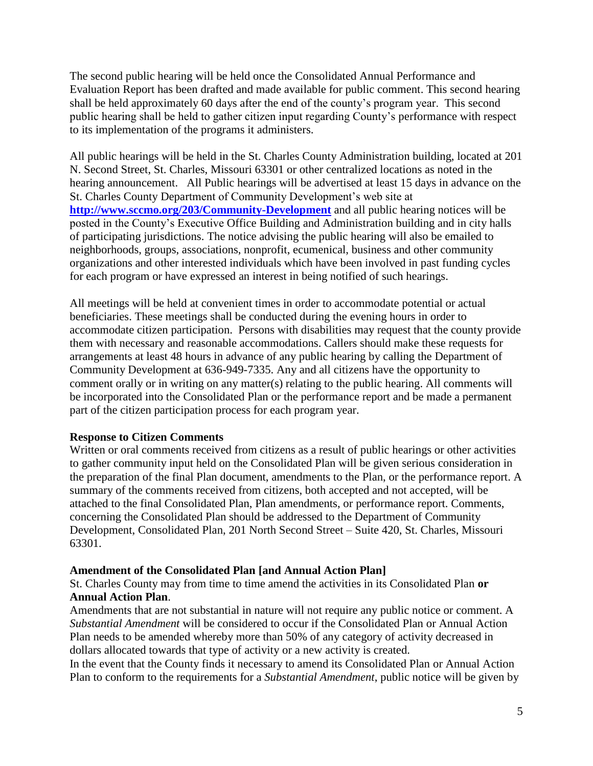The second public hearing will be held once the Consolidated Annual Performance and Evaluation Report has been drafted and made available for public comment. This second hearing shall be held approximately 60 days after the end of the county's program year. This second public hearing shall be held to gather citizen input regarding County's performance with respect to its implementation of the programs it administers.

All public hearings will be held in the St. Charles County Administration building, located at 201 N. Second Street, St. Charles, Missouri 63301 or other centralized locations as noted in the hearing announcement. All Public hearings will be advertised at least 15 days in advance on the St. Charles County Department of Community Development's web site at **<http://www.sccmo.org/203/Community-Development>** and all public hearing notices will be posted in the County's Executive Office Building and Administration building and in city halls of participating jurisdictions. The notice advising the public hearing will also be emailed to neighborhoods, groups, associations, nonprofit, ecumenical, business and other community organizations and other interested individuals which have been involved in past funding cycles for each program or have expressed an interest in being notified of such hearings.

All meetings will be held at convenient times in order to accommodate potential or actual beneficiaries. These meetings shall be conducted during the evening hours in order to accommodate citizen participation. Persons with disabilities may request that the county provide them with necessary and reasonable accommodations. Callers should make these requests for arrangements at least 48 hours in advance of any public hearing by calling the Department of Community Development at 636-949-7335. Any and all citizens have the opportunity to comment orally or in writing on any matter(s) relating to the public hearing. All comments will be incorporated into the Consolidated Plan or the performance report and be made a permanent part of the citizen participation process for each program year.

#### **Response to Citizen Comments**

Written or oral comments received from citizens as a result of public hearings or other activities to gather community input held on the Consolidated Plan will be given serious consideration in the preparation of the final Plan document, amendments to the Plan, or the performance report. A summary of the comments received from citizens, both accepted and not accepted, will be attached to the final Consolidated Plan, Plan amendments, or performance report. Comments, concerning the Consolidated Plan should be addressed to the Department of Community Development, Consolidated Plan, 201 North Second Street – Suite 420, St. Charles, Missouri 63301.

## **Amendment of the Consolidated Plan [and Annual Action Plan]**

St. Charles County may from time to time amend the activities in its Consolidated Plan **or Annual Action Plan**.

Amendments that are not substantial in nature will not require any public notice or comment. A *Substantial Amendment* will be considered to occur if the Consolidated Plan or Annual Action Plan needs to be amended whereby more than 50% of any category of activity decreased in dollars allocated towards that type of activity or a new activity is created.

In the event that the County finds it necessary to amend its Consolidated Plan or Annual Action Plan to conform to the requirements for a *Substantial Amendment*, public notice will be given by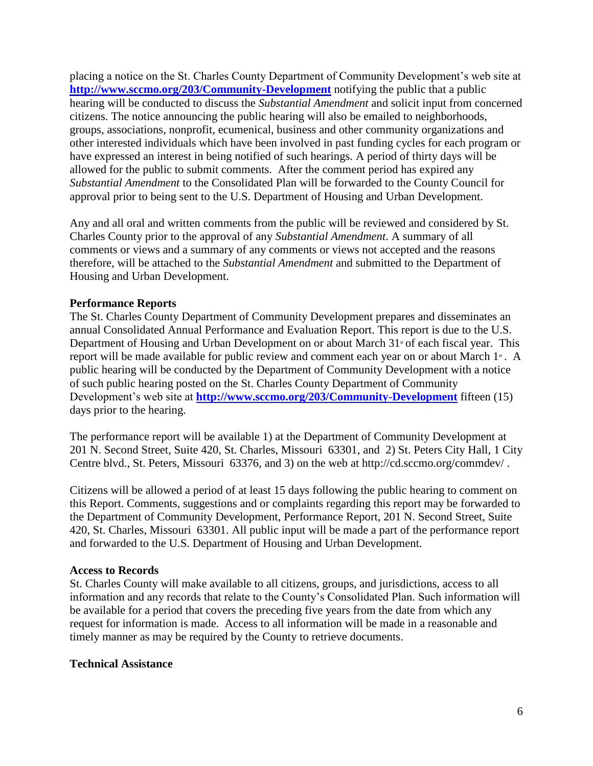placing a notice on the St. Charles County Department of Community Development's web site at **<http://www.sccmo.org/203/Community-Development>** notifying the public that a public hearing will be conducted to discuss the *Substantial Amendment* and solicit input from concerned citizens. The notice announcing the public hearing will also be emailed to neighborhoods, groups, associations, nonprofit, ecumenical, business and other community organizations and other interested individuals which have been involved in past funding cycles for each program or have expressed an interest in being notified of such hearings. A period of thirty days will be allowed for the public to submit comments. After the comment period has expired any *Substantial Amendment* to the Consolidated Plan will be forwarded to the County Council for approval prior to being sent to the U.S. Department of Housing and Urban Development.

Any and all oral and written comments from the public will be reviewed and considered by St. Charles County prior to the approval of any *Substantial Amendment*. A summary of all comments or views and a summary of any comments or views not accepted and the reasons therefore, will be attached to the *Substantial Amendment* and submitted to the Department of Housing and Urban Development.

### **Performance Reports**

The St. Charles County Department of Community Development prepares and disseminates an annual Consolidated Annual Performance and Evaluation Report. This report is due to the U.S. Department of Housing and Urban Development on or about March  $31$ <sup>st</sup> of each fiscal year. This report will be made available for public review and comment each year on or about March  $1<sup>*</sup>$ . A public hearing will be conducted by the Department of Community Development with a notice of such public hearing posted on the St. Charles County Department of Community Development's web site at **<http://www.sccmo.org/203/Community-Development>** fifteen (15) days prior to the hearing.

The performance report will be available 1) at the Department of Community Development at 201 N. Second Street, Suite 420, St. Charles, Missouri 63301, and 2) St. Peters City Hall, 1 City Centre blvd., St. Peters, Missouri 63376, and 3) on the web at http://cd.sccmo.org/commdev/ .

Citizens will be allowed a period of at least 15 days following the public hearing to comment on this Report. Comments, suggestions and or complaints regarding this report may be forwarded to the Department of Community Development, Performance Report, 201 N. Second Street, Suite 420, St. Charles, Missouri 63301. All public input will be made a part of the performance report and forwarded to the U.S. Department of Housing and Urban Development.

#### **Access to Records**

St. Charles County will make available to all citizens, groups, and jurisdictions, access to all information and any records that relate to the County's Consolidated Plan. Such information will be available for a period that covers the preceding five years from the date from which any request for information is made. Access to all information will be made in a reasonable and timely manner as may be required by the County to retrieve documents.

#### **Technical Assistance**